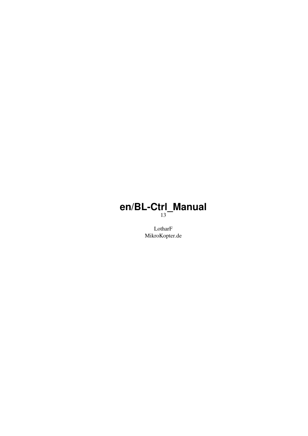### **en/BL-Ctrl\_Manual** 13

LotharF MikroKopter.de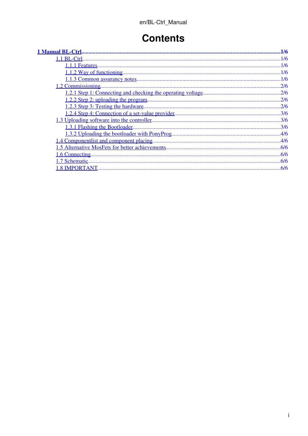## **Contents**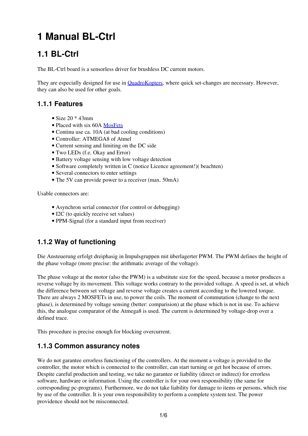# <span id="page-2-0"></span>**1 Manual BL-Ctrl**

## <span id="page-2-1"></span>**1.1 BL-Ctrl**

The BL-Ctrl board is a sensorless driver for brushless DC current motors.

They are especially designed for use in **QuadroKopters**, where quick set-changes are necessary. However, they can also be used for other goals.

#### <span id="page-2-2"></span>**1.1.1 Features**

- Size  $20 * 43$ mm
- Placed with six 60A [MosFets](http://de.wikipedia.org/wiki/Metal_Oxide_Semiconductor_Field_Effect_Transistor)
- Continu use ca. 10A (at bad cooling conditions)
- Controller: ATMEGA8 of Atmel
- Current sensing and limiting on the DC side
- Two LEDs (f.e. Okay and Error)
- Battery voltage sensing with low voltage detection
- Software completely written in C (notice Licence agreement!)( beachten)
- Several connectors to enter settings
- The 5V can provide power to a receiver (max. 50mA)

Usable connectors are:

- Asynchron serial connector (for control or debugging)
- I2C (to quickly receive set values)
- PPM-Signal (for a standard input from receiver)

### <span id="page-2-3"></span>**1.1.2 Way of functioning**

Die Ansteuerung erfolgt dreiphasig in Impulsgruppen mit überlagerter PWM. The PWM defines the height of the phase voltage (more precise: the arithmatic average of the voltage).

The phase voltage at the motor (also the PWM) is a substitute size for the speed, because a motor produces a reverse voltage by its movement. This voltage works contrary to the provided voltage. A speed is set, at which the difference between set voltage and reverse voltage creates a current according to the lowered torque. There are always 2 MOSFETs in use, to power the coils. The moment of commutation (change to the next phase), is determined by voltage sensing (better: comparision) at the phase which is not in use. To achieve this, the analogue comparator of the Atmega8 is used. The current is determined by voltage-drop over a defined trace.

This procedure is precise enough for blocking overcurrent.

#### <span id="page-2-4"></span>**1.1.3 Common assurancy notes**

We do not garantee errorless functioning of the controllers. At the moment a voltage is provided to the controller, the motor which is connected to the controller, can start turning or get hot because of errors. Despite careful production and testing, we take no garantee or liability (direct or indirect) for errorless software, hardware or information. Using the controller is for your own responsibility (the same for corresponding pc-programs). Furthermore, we do not take liability for damage to items or persons, which rise by use of the controller. It is your own responsibility to perform a complete system test. The power providence should not be misconnected.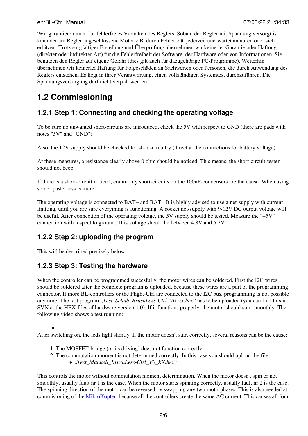#### en/BL-Ctrl\_Manual 07/03/22 21:34:33

'Wir garantieren nicht für fehlerfreies Verhalten des Reglers. Sobald der Regler mit Spannung versorgt ist, kann der am Regler angeschlossene Motor z.B. durch Fehler o.ä. jederzeit unerwartet anlaufen oder sich erhitzen. Trotz sorgfältiger Erstellung und Überprüfung übernehmen wir keinerlei Garantie oder Haftung (direkter oder indirekter Art) für die Fehlerfreiheit der Software, der Hardware oder von Informationen. Sie benutzen den Regler auf eigene Gefahr (dies gilt auch für dazugehörige PC-Programme). Weiterhin übernehmen wir keinerlei Haftung für Folgeschäden an Sachwerten oder Personen, die durch Anwendung des Reglers entstehen. Es liegt in ihrer Verantwortung, einen vollständigen Systemtest durchzuführen. Die Spannungsversorgung darf nicht verpolt werden.'

## <span id="page-3-0"></span>**1.2 Commissioning**

### <span id="page-3-1"></span>**1.2.1 Step 1: Connecting and checking the operating voltage**

To be sure no unwanted short-circuits are introduced, check the 5V with respect to GND (there are pads with notes "5V" and "GND").

Also, the 12V supply should be checked for short-circuitry (direct at the connections for battery voltage).

At these measures, a resistance clearly above 0 ohm should be noticed. This means, the short-circuit-tester should not beep.

If there is a short-circuit noticed, commonly short-circuits on the 100nF-condensers are the cause. When using solder paste: less is more.

The operating voltage is connected to BAT+ and BAT-. It is highly advised to use a net-supply with current limiting, until you are sure everything is functioning. A socket net-supply with 9-12V DC output voltage will be useful. After connection of the operating voltage, the 5V supply should be tested. Measure the "+5V" connection with respect to ground. This voltage should be between 4,8V and 5,2V.

### <span id="page-3-2"></span>**1.2.2 Step 2: uploading the program**

This will be described precisely below.

•

### <span id="page-3-3"></span>**1.2.3 Step 3: Testing the hardware**

When the controller can be programmed succesfully, the motor wires can be soldered. First the I2C wires should be soldered after the complete program is uploaded, because these wires are a part of the programming connector. If more BL-controllers or the Flight-Ctrl are connected to the I2C bus, programming is not possible anymore. The test program "*Test Schub BrushLess-Ctrl V0\_xx.hex*" has to be uploaded (you can find this in SVN at the HEX-files of hardware version 1.0). If it functions properly, the motor should start smoothly. The following video shows a test running:

After switching on, the leds light shortly. If the motor doesn't start correctly, several reasons can be the cause:

- 1. The MOSFET-bridge (or its driving) does not function correctly.
- 2. The commutation moment is not determined correctly. In this case you should upload the file:
	- ♦ "*Test\_Manuell\_BrushLess-Ctrl\_V0\_XX.hex*" .

This controls the motor without commutation moment determination. When the motor doesn't spin or not smoothly, usually fault nr 1 is the case. When the motor starts spinning correctly, usually fault nr 2 is the case. The spinning direction of the motor can be reversed by swapping any two motorphases. This is also needed at commisioning of the [MikroKopter,](https://wiki.mikrokopter.de/MikroKopter) because all the controllers create the same AC current. This causes all four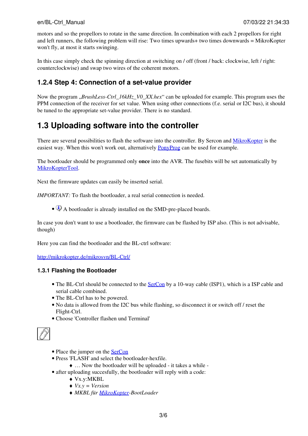motors and so the propellors to rotate in the same direction. In combination with each 2 propellors for right and left runners, the following problem will rise: Two times upwards+ two times downwards = MikroKopter won't fly, at most it starts swinging.

In this case simply check the spinning direction at switching on / off (front / back: clockwise, left / right: counterclockwise) and swap two wires of the coherent motors.

### <span id="page-4-0"></span>**1.2.4 Step 4: Connection of a set-value provider**

Now the program "*BrushLess-Ctrl\_16kHz\_V0\_XX.hex*" can be uploaded for example. This program uses the PPM connection of the receiver for set value. When using other connections (f.e. serial or I2C bus), it should be tuned to the appropriate set-value provider. There is no standard.

## <span id="page-4-1"></span>**1.3 Uploading software into the controller**

There are several possibilities to flash the software into the controller. By Sercon and [MikroKopter](https://wiki.mikrokopter.de/MikroKopter) is the easiest way. When this won't work out, alternatively **[PonyProg](https://wiki.mikrokopter.de/PonyProg)** can be used for example.

The bootloader should be programmed only **once** into the AVR. The fusebits will be set automatically by [MikroKopterTool.](https://wiki.mikrokopter.de/MikroKopterTool)

Next the firmware updates can easily be inserted serial.

*IMPORTANT:* To flash the bootloader, a real serial connection is needed.

• A bootloader is already installed on the SMD-pre-placed boards.

In case you don't want to use a bootloader, the firmware can be flashed by ISP also. (This is not advisable, though)

Here you can find the bootloader and the BL-ctrl software:

<http://mikrokopter.de/mikrosvn/BL-Ctrl/>

#### <span id="page-4-2"></span>**1.3.1 Flashing the Bootloader**

- The BL-Ctrl should be connected to the **[SerCon](https://wiki.mikrokopter.de/SerCon)** by a 10-way cable (ISP1), which is a ISP cable and serial cable combined.
- The BL-Ctrl has to be powered.
- No data is allowed from the I2C bus while flashing, so disconnect it or switch off / reset the Flight-Ctrl.
- Choose 'Controller flashen und Terminal'



- Place the jumper on the [SerCon](https://wiki.mikrokopter.de/SerCon)
- Press 'FLASH' and select the bootloader-hexfile.
	- ♦ … Now the bootloader will be uploaded it takes a while -
- after uploading succesfully, the bootloader will reply with a code:
	- ♦ Vx.y:MKBL
	- ♦ *Vx.y = Version*
	- ♦ *MKBL für [MikroKopter](https://wiki.mikrokopter.de/MikroKopter)-BootLoader*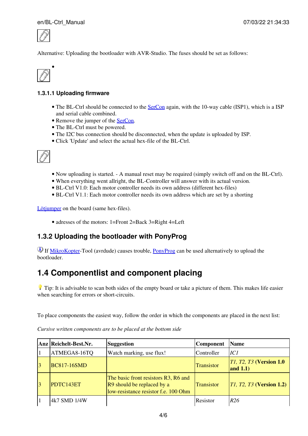#### en/BL-Ctrl\_Manual 07/03/22 21:34:33



Alternative: Uploading the bootloader with AVR-Studio. The fuses should be set as follows:



#### **1.3.1.1 Uploading firmware**

- The BL-Ctrl should be connected to the **[SerCon](https://wiki.mikrokopter.de/SerCon)** again, with the 10-way cable (ISP1), which is a ISP and serial cable combined.
- Remove the jumper of the [SerCon.](https://wiki.mikrokopter.de/SerCon)
- The BL-Ctrl must be powered.
- The I2C bus connection should be disconnected, when the update is uploaded by ISP.
- Click 'Update' and select the actual hex-file of the BL-Ctrl.



- Now uploading is started. A manual reset may be required (simply switch off and on the BL-Ctrl).
- When everything went allright, the BL-Controller will answer with its actual version.
- BL-Ctrl V1.0: Each motor controller needs its own address (different hex-files)
- BL-Ctrl V1.1: Each motor controller needs its own address which are set by a shorting

[Lötjumper](http://www.mikrokopter.com/ucwiki/BL-Ctrl_V1.2?highlight=(l�tjumper)#head-579ba14279e6a35091680e0e5d64055cd59a0c7d) on the board (same hex-files).

• adresses of the motors: 1=Front 2=Back 3=Right 4=Left

### <span id="page-5-0"></span>**1.3.2 Uploading the bootloader with PonyProg**

If [MikroKopter](https://wiki.mikrokopter.de/MikroKopter)-Tool (avrdude) causes trouble, [PonyProg](https://wiki.mikrokopter.de/PonyProg) can be used alternatively to upload the bootloader.

## <span id="page-5-1"></span>**1.4 Componentlist and component placing**

Tip: It is advisable to scan both sides of the empty board or take a picture of them. This makes life easier when searching for errors or short-circuits.

To place components the easiest way, follow the order in which the components are placed in the next list:

|                | Anz Reichelt-Best.Nr. | <b>Suggestion</b>                                                                                          | <b>Component</b>  | <b>Name</b>                                |
|----------------|-----------------------|------------------------------------------------------------------------------------------------------------|-------------------|--------------------------------------------|
|                | ATMEGA8-16TQ          | Watch marking, use flux!                                                                                   | Controller        | IC1                                        |
| $\overline{3}$ | <b>BC817-16SMD</b>    |                                                                                                            | <b>Transistor</b> | $ T1, T2, T3$ (Version 1.0)<br>and $1.1$ ) |
| $\overline{3}$ | PDTC143ET             | The basic front resistors R3, R6 and<br>R9 should be replaced by a<br>low-resistance resistor f.e. 100 Ohm | Transistor        | $ T1, T2, T3$ (Version 1.2)                |
|                | 4k7 SMD 1/4W          |                                                                                                            | Resistor          | R <sub>26</sub>                            |

*Cursive written components are to be placed at the bottom side*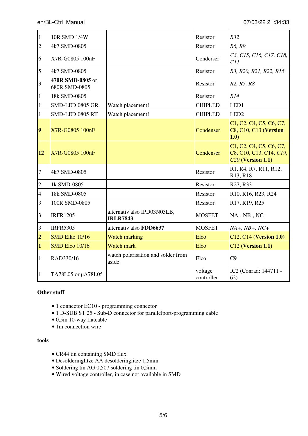| $\mathbf{1}$   | 10R SMD 1/4W                      |                                                | Resistor              | R32                                                                                             |
|----------------|-----------------------------------|------------------------------------------------|-----------------------|-------------------------------------------------------------------------------------------------|
| $\overline{2}$ | 4k7 SMD-0805                      |                                                | Resistor              | R6, R9                                                                                          |
| 6              | X7R-G0805 100nF                   |                                                | Conderser             | C <sub>3</sub> , C <sub>15</sub> , C <sub>16</sub> , C <sub>17</sub> , C <sub>18</sub> ,<br>C11 |
| 5              | 4k7 SMD-0805                      |                                                | Resistor              | R3, R20, R21, R22, R15                                                                          |
| 3              | 470R SMD-0805 or<br>680R SMD-0805 |                                                | Resistor              | R <sub>2</sub> , R <sub>5</sub> , R <sub>8</sub>                                                |
| $\mathbf{1}$   | 18k SMD-0805                      |                                                | Resistor              | R14                                                                                             |
| 1              | SMD-LED 0805 GR                   | Watch placement!                               | <b>CHIPLED</b>        | LED1                                                                                            |
| 1              | SMD-LED 0805 RT                   | Watch placement!                               | <b>CHIPLED</b>        | LED <sub>2</sub>                                                                                |
| $\overline{9}$ | X7R-G0805 100nF                   |                                                | Condenser             | C1, C2, C4, C5, C6, C7,<br><b>C8, C10, C13 (Version</b><br>1.0)                                 |
| 12             | X7R-G0805 100nF                   |                                                | Condenser             | C1, C2, C4, C5, C6, C7,<br>C8, C10, C13, C14, C19,<br>$C20$ (Version 1.1)                       |
| 7              | 4k7 SMD-0805                      |                                                | Resistor              | R1, R4, R7, R11, R12,<br>R13, R18                                                               |
| $\overline{c}$ | 1k SMD-0805                       |                                                | Resistor              | R27, R33                                                                                        |
| $\overline{4}$ | 18k SMD-0805                      |                                                | Resistor              | R10, R16, R23, R24                                                                              |
| 3              | 100R SMD-0805                     |                                                | Resistor              | R17, R19, R25                                                                                   |
| 3              | <b>IRFR1205</b>                   | alternativ also IPD03N03LB,<br><b>IRLR7843</b> | <b>MOSFET</b>         | NA-, NB-, NC-                                                                                   |
| 3              | <b>IRFR5305</b>                   | alternativ also FDD6637                        | <b>MOSFET</b>         | $NA+$ , $NB+$ , $NC+$                                                                           |
| $\overline{2}$ | SMD Elko 10/16                    | <b>Watch marking</b>                           | Elco                  | C12, C14 (Version 1.0)                                                                          |
| $\mathbf{1}$   | SMD Elco 10/16                    | <b>Watch mark</b>                              | Elco                  | C12 (Version 1.1)                                                                               |
| 1              | RAD330/16                         | watch polarisation and solder from<br>aside    | Elco                  | C9                                                                                              |
| $\mathbf{1}$   | TA78L05 or µA78L05                |                                                | voltage<br>controller | IC2 (Conrad: 144711 -<br>62)                                                                    |

#### **Other stuff**

- 1 connector EC10 programming connector
- 1 D-SUB ST 25 Sub-D connector for parallelport-programming cable
- 0,5m 10-way flatcable
- 1m connection wire

#### **tools**

- CR44 tin containing SMD flux
- Desolderinglitze AA desolderinglitze 1,5mm
- Soldering tin AG 0,507 soldering tin 0,5mm
- Wired voltage controller, in case not available in SMD